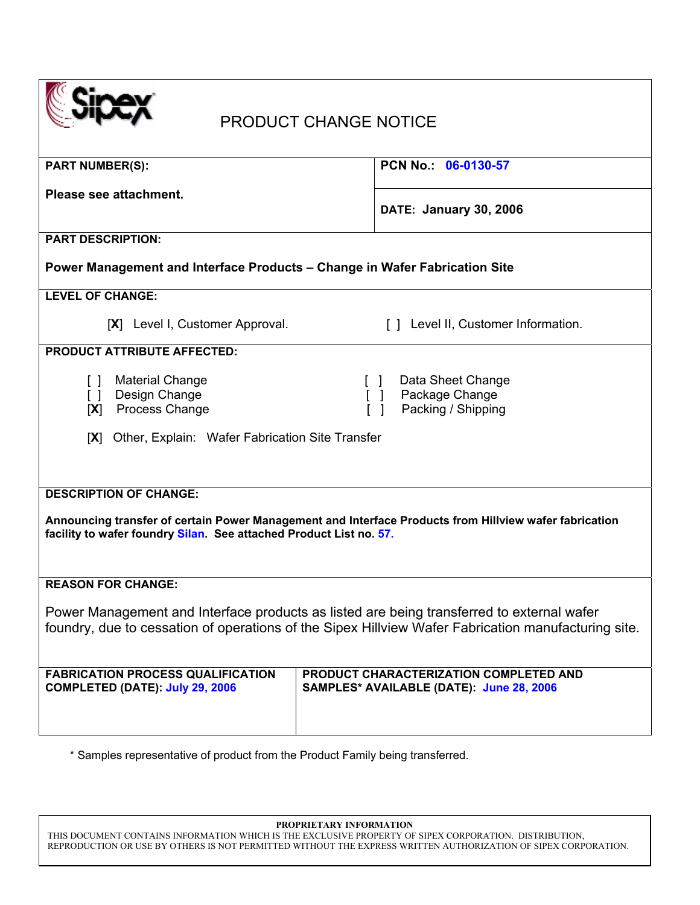| <b>PRODUCT CHANGE NOTICE</b>                                                                                                                                                                                  |                                                           |  |  |
|---------------------------------------------------------------------------------------------------------------------------------------------------------------------------------------------------------------|-----------------------------------------------------------|--|--|
| <b>PART NUMBER(S):</b>                                                                                                                                                                                        | PCN No.: 06-0130-57                                       |  |  |
| Please see attachment.                                                                                                                                                                                        | <b>DATE: January 30, 2006</b>                             |  |  |
| <b>PART DESCRIPTION:</b>                                                                                                                                                                                      |                                                           |  |  |
| Power Management and Interface Products - Change in Wafer Fabrication Site                                                                                                                                    |                                                           |  |  |
| <b>LEVEL OF CHANGE:</b>                                                                                                                                                                                       |                                                           |  |  |
| [X] Level I, Customer Approval.                                                                                                                                                                               | [] Level II, Customer Information.                        |  |  |
| <b>PRODUCT ATTRIBUTE AFFECTED:</b>                                                                                                                                                                            |                                                           |  |  |
| <b>Material Change</b><br>$\Box$<br>Design Change<br>$\Box$<br>Process Change<br>[X]                                                                                                                          | Data Sheet Change<br>Package Change<br>Packing / Shipping |  |  |
| Other, Explain: Wafer Fabrication Site Transfer<br> X                                                                                                                                                         |                                                           |  |  |
| <b>DESCRIPTION OF CHANGE:</b><br>Announcing transfer of certain Power Management and Interface Products from Hillview wafer fabrication<br>facility to wafer foundry Silan. See attached Product List no. 57. |                                                           |  |  |
| <b>REASON FOR CHANGE:</b>                                                                                                                                                                                     |                                                           |  |  |
| Power Management and Interface products as listed are being transferred to external wafer<br>foundry, due to cessation of operations of the Sipex Hillview Wafer Fabrication manufacturing site.              |                                                           |  |  |
| <b>FABRICATION PROCESS QUALIFICATION</b><br>PRODUCT CHARACTERIZATION COMPLETED AND<br>SAMPLES* AVAILABLE (DATE): June 28, 2006<br><b>COMPLETED (DATE): July 29, 2006</b>                                      |                                                           |  |  |

\* Samples representative of product from the Product Family being transferred.

**PROPRIETARY INFORMATION** 

THIS DOCUMENT CONTAINS INFORMATION WHICH IS THE EXCLUSIVE PROPERTY OF SIPEX CORPORATION. DISTRIBUTION, REPRODUCTION OR USE BY OTHERS IS NOT PERMITTED WITHOUT THE EXPRESS WRITTEN AUTHORIZATION OF SIPEX CORPORATION.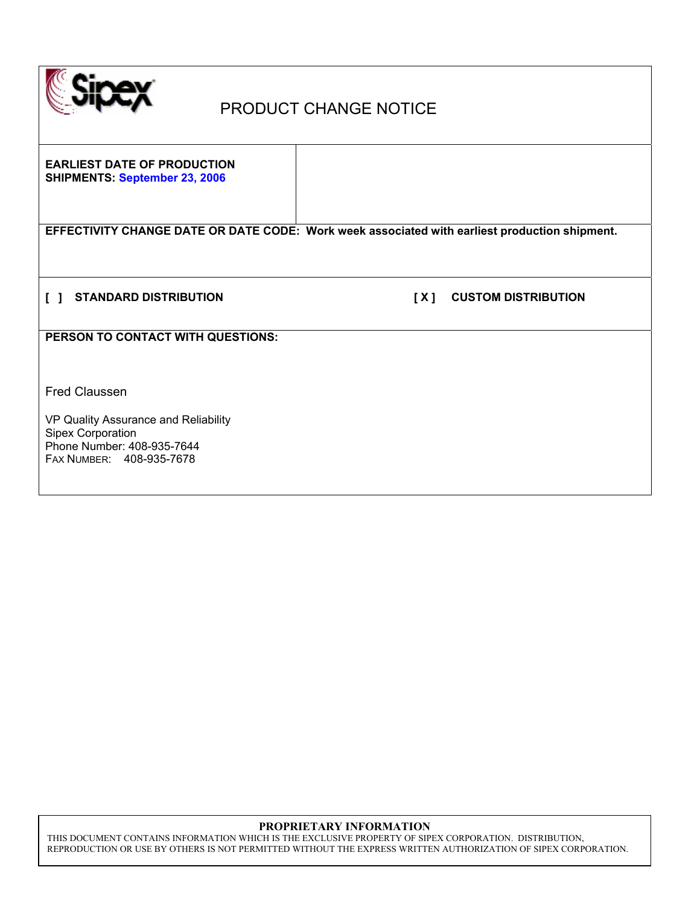

# PRODUCT CHANGE NOTICE

**EARLIEST DATE OF PRODUCTION SHIPMENTS: September 23, 2006** 

**EFFECTIVITY CHANGE DATE OR DATE CODE: Work week associated with earliest production shipment.** 

**[ ] STANDARD DISTRIBUTION [ X ] CUSTOM DISTRIBUTION** 

**PERSON TO CONTACT WITH QUESTIONS:** 

Fred Claussen

VP Quality Assurance and Reliability Sipex Corporation Phone Number: 408-935-7644 FAX NUMBER: 408-935-7678

#### **PROPRIETARY INFORMATION**

THIS DOCUMENT CONTAINS INFORMATION WHICH IS THE EXCLUSIVE PROPERTY OF SIPEX CORPORATION. DISTRIBUTION, REPRODUCTION OR USE BY OTHERS IS NOT PERMITTED WITHOUT THE EXPRESS WRITTEN AUTHORIZATION OF SIPEX CORPORATION.